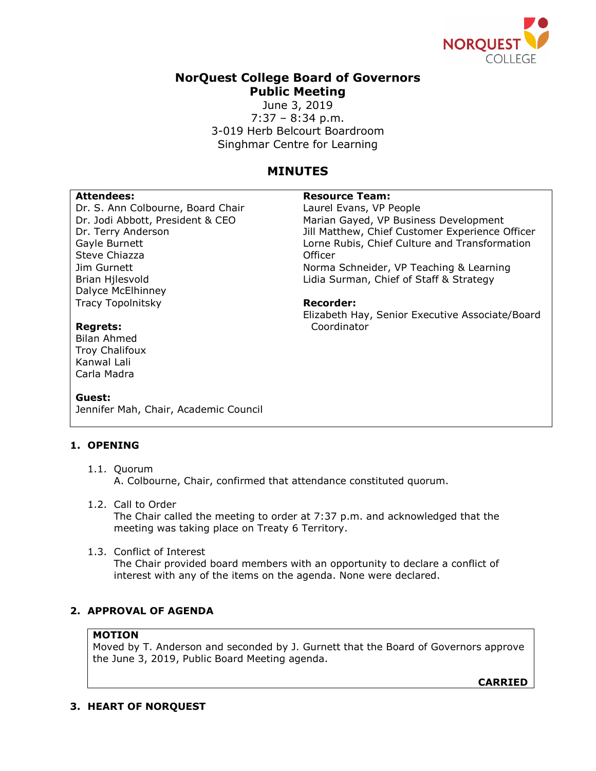

# **NorQuest College Board of Governors Public Meeting**

June 3, 2019 7:37 – 8:34 p.m. 3-019 Herb Belcourt Boardroom Singhmar Centre for Learning

# **MINUTES**

Dr. S. Ann Colbourne, Board Chair Dr. Jodi Abbott, President & CEO Dr. Terry Anderson Gayle Burnett Steve Chiazza Jim Gurnett Brian Hjlesvold Dalyce McElhinney Tracy Topolnitsky

# Attendees: **Attendees: Resource Team:**

Laurel Evans, VP People Marian Gayed, VP Business Development Jill Matthew, Chief Customer Experience Officer Lorne Rubis, Chief Culture and Transformation **Officer** Norma Schneider, VP Teaching & Learning Lidia Surman, Chief of Staff & Strategy

#### **Recorder:**

Elizabeth Hay, Senior Executive Associate/Board Coordinator

# **Regrets:**

Bilan Ahmed Troy Chalifoux Kanwal Lali Carla Madra

#### **Guest:**

Jennifer Mah, Chair, Academic Council

# **1. OPENING**

- 1.1. Quorum A. Colbourne, Chair, confirmed that attendance constituted quorum.
- 1.2. Call to Order The Chair called the meeting to order at 7:37 p.m. and acknowledged that the meeting was taking place on Treaty 6 Territory.
- 1.3. Conflict of Interest The Chair provided board members with an opportunity to declare a conflict of interest with any of the items on the agenda. None were declared.

# **2. APPROVAL OF AGENDA**

## **MOTION**

Moved by T. Anderson and seconded by J. Gurnett that the Board of Governors approve the June 3, 2019, Public Board Meeting agenda.

**CARRIED**

# **3. HEART OF NORQUEST**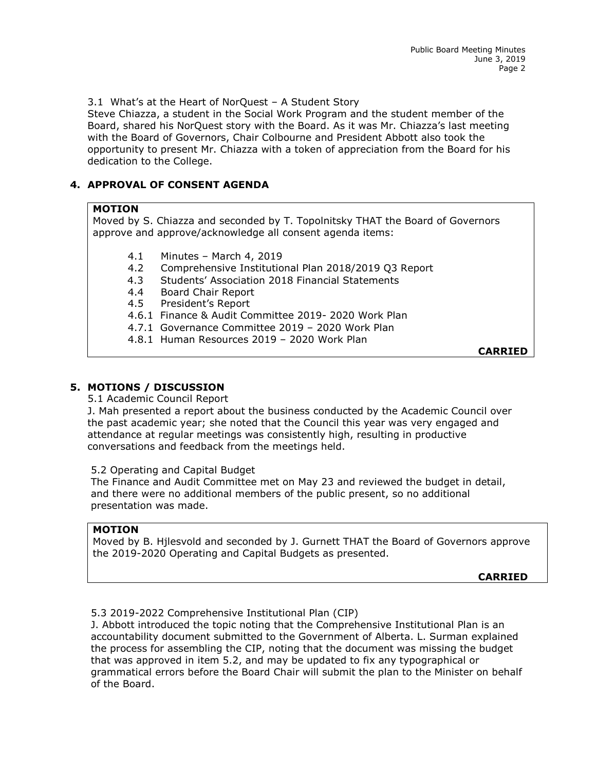3.1 What's at the Heart of NorQuest – A Student Story

Steve Chiazza, a student in the Social Work Program and the student member of the Board, shared his NorQuest story with the Board. As it was Mr. Chiazza's last meeting with the Board of Governors, Chair Colbourne and President Abbott also took the opportunity to present Mr. Chiazza with a token of appreciation from the Board for his dedication to the College.

# **4. APPROVAL OF CONSENT AGENDA**

# **MOTION**

Moved by S. Chiazza and seconded by T. Topolnitsky THAT the Board of Governors approve and approve/acknowledge all consent agenda items:

- 4.1 Minutes March 4, 2019
- 4.2 Comprehensive Institutional Plan 2018/2019 Q3 Report
- 4.3 Students' Association 2018 Financial Statements
- 4.4 Board Chair Report
- 4.5 President's Report
- 4.6.1 Finance & Audit Committee 2019- 2020 Work Plan
- 4.7.1 Governance Committee 2019 2020 Work Plan
- 4.8.1 Human Resources 2019 2020 Work Plan

**CARRIED**

# **5. MOTIONS / DISCUSSION**

5.1 Academic Council Report

J. Mah presented a report about the business conducted by the Academic Council over the past academic year; she noted that the Council this year was very engaged and attendance at regular meetings was consistently high, resulting in productive conversations and feedback from the meetings held.

5.2 Operating and Capital Budget

The Finance and Audit Committee met on May 23 and reviewed the budget in detail, and there were no additional members of the public present, so no additional presentation was made.

# **MOTION**

Moved by B. Hjlesvold and seconded by J. Gurnett THAT the Board of Governors approve the 2019-2020 Operating and Capital Budgets as presented.

**CARRIED**

## 5.3 2019-2022 Comprehensive Institutional Plan (CIP)

J. Abbott introduced the topic noting that the Comprehensive Institutional Plan is an accountability document submitted to the Government of Alberta. L. Surman explained the process for assembling the CIP, noting that the document was missing the budget that was approved in item 5.2, and may be updated to fix any typographical or grammatical errors before the Board Chair will submit the plan to the Minister on behalf of the Board.